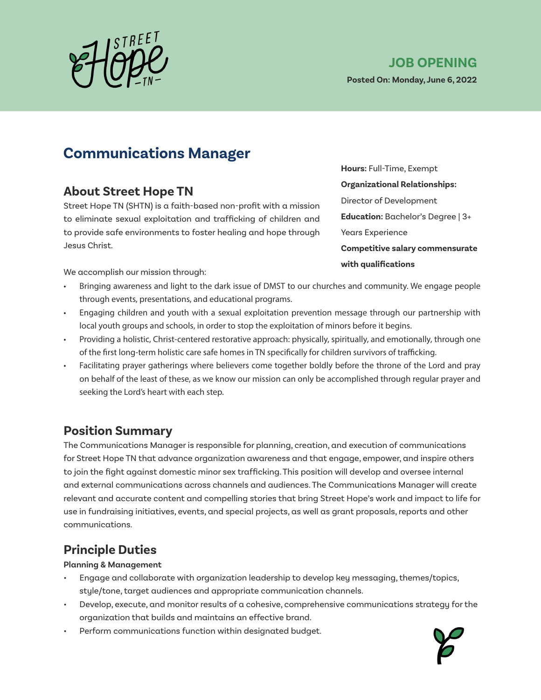

**Posted On: Monday, June 6, 2022**

## **Communications Manager**

### **About Street Hope TN**

Street Hope TN (SHTN) is a faith-based non-profit with a mission to eliminate sexual exploitation and trafficking of children and to provide safe environments to foster healing and hope through Jesus Christ.

**Hours:** Full-Time, Exempt **Organizational Relationships:**  Director of Development **Education:** Bachelor's Degree | 3+ Years Experience **Competitive salary commensurate with qualifications**

We accomplish our mission through:

- Bringing awareness and light to the dark issue of DMST to our churches and community. We engage people through events, presentations, and educational programs.
- Engaging children and youth with a sexual exploitation prevention message through our partnership with local youth groups and schools, in order to stop the exploitation of minors before it begins.
- Providing a holistic, Christ-centered restorative approach: physically, spiritually, and emotionally, through one of the first long-term holistic care safe homes in TN specifically for children survivors of trafficking.
- Facilitating prayer gatherings where believers come together boldly before the throne of the Lord and pray on behalf of the least of these, as we know our mission can only be accomplished through regular prayer and seeking the Lord's heart with each step.

### **Position Summary**

The Communications Manager is responsible for planning, creation, and execution of communications for Street Hope TN that advance organization awareness and that engage, empower, and inspire others to join the fight against domestic minor sex trafficking. This position will develop and oversee internal and external communications across channels and audiences. The Communications Manager will create relevant and accurate content and compelling stories that bring Street Hope's work and impact to life for use in fundraising initiatives, events, and special projects, as well as grant proposals, reports and other communications.

### **Principle Duties**

**Planning & Management**

- Engage and collaborate with organization leadership to develop key messaging, themes/topics, style/tone, target audiences and appropriate communication channels.
- Develop, execute, and monitor results of a cohesive, comprehensive communications strategy for the organization that builds and maintains an effective brand.
- Perform communications function within designated budget.

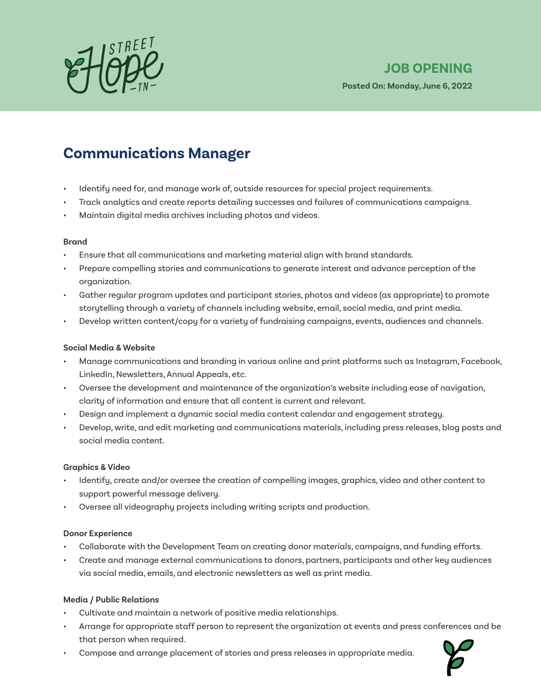

## **JOB OPENING**

**Posted On: Monday, June 6, 2022**

## **Communications Manager**

- Identify need for, and manage work of, outside resources for special project requirements.
- Track analytics and create reports detailing successes and failures of communications campaigns.
- Maintain digital media archives including photos and videos.

#### **Brand**

- Ensure that all communications and marketing material align with brand standards.
- Prepare compelling stories and communications to generate interest and advance perception of the organization.
- Gather regular program updates and participant stories, photos and videos (as appropriate) to promote storytelling through a variety of channels including website, email, social media, and print media.
- Develop written content/copy for a variety of fundraising campaigns, events, audiences and channels.

#### **Social Media & Website**

- Manage communications and branding in various online and print platforms such as Instagram, Facebook, LinkedIn, Newsletters, Annual Appeals, etc.
- Oversee the development and maintenance of the organization's website including ease of navigation, clarity of information and ensure that all content is current and relevant.
- Design and implement a dynamic social media content calendar and engagement strategy.
- Develop, write, and edit marketing and communications materials, including press releases, blog posts and social media content.

#### **Graphics & Video**

- Identify, create and/or oversee the creation of compelling images, graphics, video and other content to support powerful message delivery.
- Oversee all videography projects including writing scripts and production.

#### **Donor Experience**

- Collaborate with the Development Team on creating donor materials, campaigns, and funding efforts.
- Create and manage external communications to donors, partners, participants and other key audiences via social media, emails, and electronic newsletters as well as print media.

#### **Media / Public Relations**

- Cultivate and maintain a network of positive media relationships.
- Arrange for appropriate staff person to represent the organization at events and press conferences and be that person when required.
- Compose and arrange placement of stories and press releases in appropriate media.

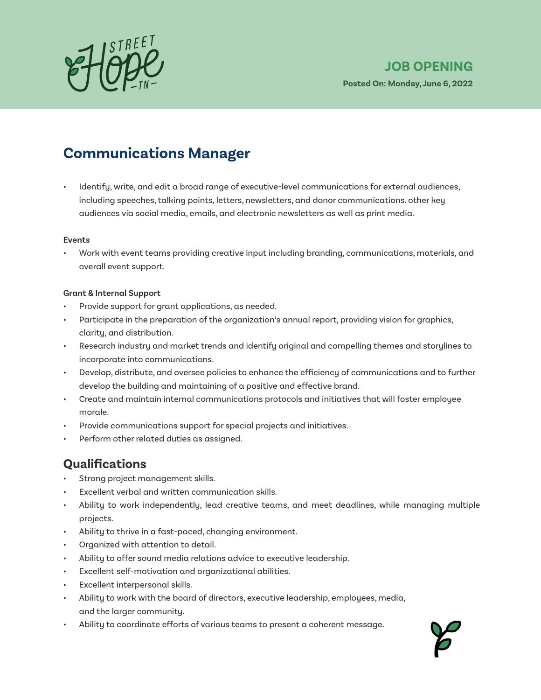

**Posted On: Monday, June 6, 2022**

# **Communications Manager**

• Identify, write, and edit a broad range of executive-level communications for external audiences, including speeches, talking points, letters, newsletters, and donor communications. other key audiences via social media, emails, and electronic newsletters as well as print media.

#### **Events**

• Work with event teams providing creative input including branding, communications, materials, and overall event support.

#### **Grant & Internal Support**

- Provide support for grant applications, as needed.
- Participate in the preparation of the organization's annual report, providing vision for graphics, clarity, and distribution.
- Research industry and market trends and identify original and compelling themes and storylines to incorporate into communications.
- Develop, distribute, and oversee policies to enhance the efficiency of communications and to further develop the building and maintaining of a positive and effective brand.
- Create and maintain internal communications protocols and initiatives that will foster employee morale.
- Provide communications support for special projects and initiatives.
- Perform other related duties as assigned.

### **Qualifications**

- Strong project management skills.
- Excellent verbal and written communication skills.
- Ability to work independently, lead creative teams, and meet deadlines, while managing multiple projects.
- Ability to thrive in a fast-paced, changing environment.
- Organized with attention to detail.
- Ability to offer sound media relations advice to executive leadership.
- Excellent self-motivation and organizational abilities.
- Excellent interpersonal skills.
- Ability to work with the board of directors, executive leadership, employees, media, and the larger community.
- Ability to coordinate efforts of various teams to present a coherent message.